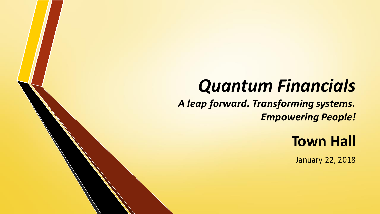## *Quantum Financials*

*A leap forward. Transforming systems. Empowering People!*

## **Town Hall**

January 22, 2018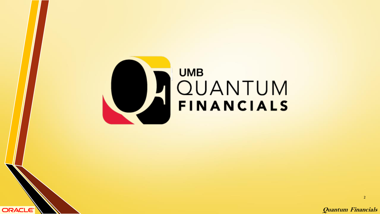

ORACLE<sup>®</sup>

# **UMB** CUANTUM

**Quantum Financials**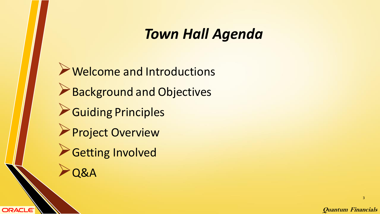#### *Town Hall Agenda*

➢Welcome and Introductions ➢Background and Objectives ➢Guiding Principles ➢Project Overview ➢Getting Involved ➢Q&A

ORACLE<sup>®</sup>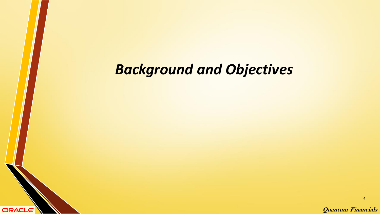ORACLE<sup>®</sup>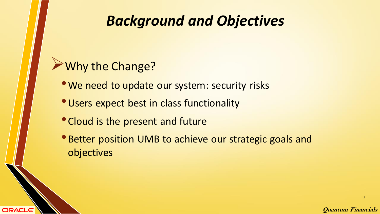#### ➢Why the Change?

**ORACLE®** 

- We need to update our system: security risks
- •Users expect best in class functionality
- •Cloud is the present and future
- Better position UMB to achieve our strategic goals and objectives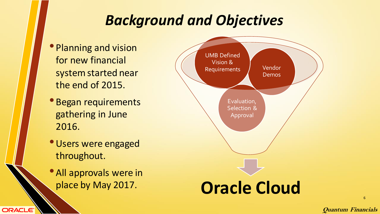- Planning and vision for new financial system started near the end of 2015.
- Began requirements gathering in June 2016.
- •Users were engaged throughout.
- All approvals were in

ORACLE<sup>®</sup>



**Quantum Financials**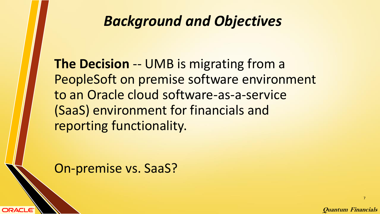**The Decision** -- UMB is migrating from a PeopleSoft on premise software environment to an Oracle cloud software-as-a-service (SaaS) environment for financials and reporting functionality.

On-premise vs. SaaS?

ORACLE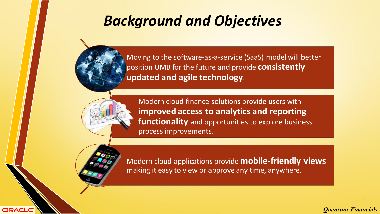Moving to the software-as-a-service (SaaS) model will better position UMB for the future and provide **consistently updated and agile technology**.



Modern cloud finance solutions provide users with **improved access to analytics and reporting functionality** and opportunities to explore business process improvements.



**ORACLE** 

Modern cloud applications provide **mobile-friendly views** making it easy to view or approve any time, anywhere.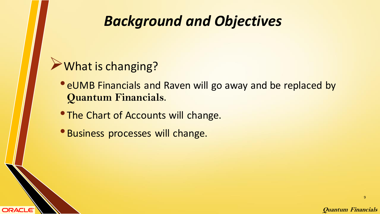#### ➢What is changing?

**ORACLE®** 

- eUMB Financials and Raven will go away and be replaced by **Quantum Financials**.
- **The Chart of Accounts will change.**
- Business processes will change.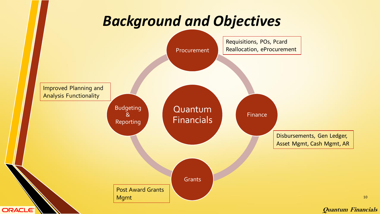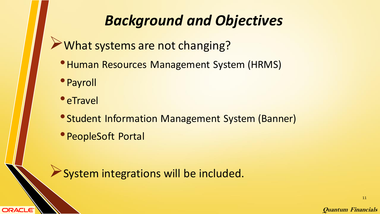➢What systems are not changing?

- •Human Resources Management System (HRMS)
- •Payroll
- eTravel

**ORACLE®** 

- •Student Information Management System (Banner)
- •PeopleSoft Portal

➢System integrations will be included.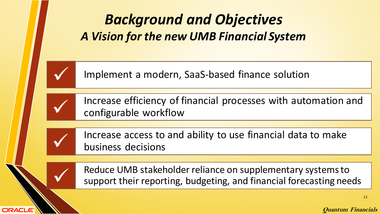

ORACLE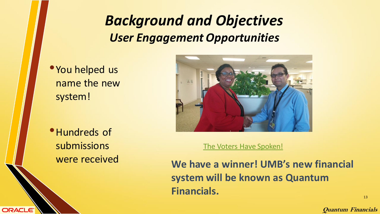## *Background and Objectives User Engagement Opportunities*

• You helped us name the new system!

•Hundreds of submissions were received

**ORACLE** 



[The Voters Have Spoken!](https://elm.umaryland.edu/the-voters-have-spoken/)

**We have a winner! UMB's new financial system will be known as Quantum Financials.**

**Quantum Financials**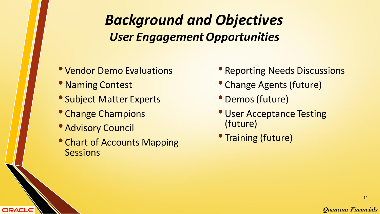## *Background and Objectives User Engagement Opportunities*

- Vendor Demo Evaluations
- Naming Contest
- Subject Matter Experts
- Change Champions
- Advisory Council

**ORACLE®** 

• Chart of Accounts Mapping **Sessions** 

- Reporting Needs Discussions
- Change Agents (future)
- Demos (future)
- •User Acceptance Testing (future)
- Training (future)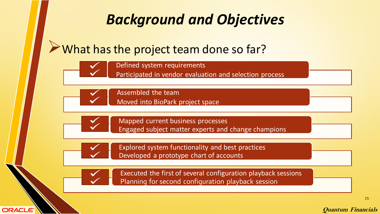#### ➢What has the project team done so far?



Defined system requirements

Participated in vendor evaluation and selection process



Assembled the team Moved into BioPark project space



Mapped current business processes Engaged subject matter experts and change champions



Explored system functionality and best practices Developed a prototype chart of accounts



**ORACLE** 

Executed the first of several configuration playback sessions Planning for second configuration playback session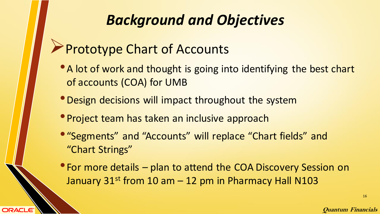## ➢Prototype Chart of Accounts

**ORACLE®** 

- A lot of work and thought is going into identifying the best chart of accounts (COA) for UMB
- •Design decisions will impact throughout the system
- Project team has taken an inclusive approach
- "Segments" and "Accounts" will replace "Chart fields" and "Chart Strings"
- For more details plan to attend the COA Discovery Session on January  $31^{st}$  from 10 am  $-$  12 pm in Pharmacy Hall N103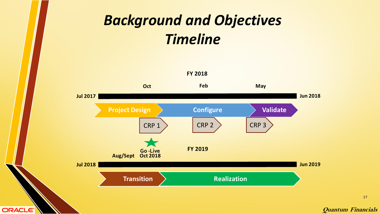## *Background and Objectives Timeline*



ORACLE<sup>®</sup>

17

**Quantum Financials**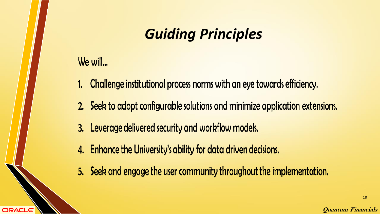## *Guiding Principles*

#### We will...

**ORACLE** 

- 1. Challenge institutional process norms with an eye towards efficiency.
- 2. Seek to adopt configurable solutions and minimize application extensions.
- 3. Leverage delivered security and workflow models.
- 4. Enhance the University's ability for data driven decisions.
- 5. Seek and engage the user community throughout the implementation.

**Quantum Financials**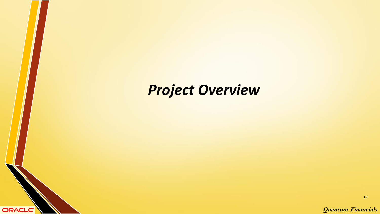## *Project Overview*

ORACLE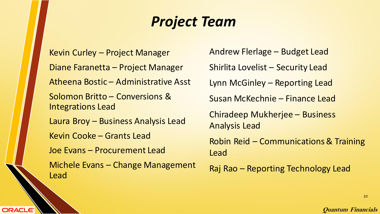## *Project Team*

Kevin Curley – Project Manager Diane Faranetta – Project Manager Atheena Bostic – Administrative Asst Solomon Britto – Conversions & Integrations Lead Laura Broy – Business Analysis Lead Kevin Cooke – Grants Lead Joe Evans – Procurement Lead Michele Evans – Change Management Lead

**ORACLE** 

Andrew Flerlage – Budget Lead Shirlita Lovelist – Security Lead Lynn McGinley – Reporting Lead Susan McKechnie – Finance Lead Chiradeep Mukherjee – Business Analysis Lead Robin Reid – Communications & Training Lead Raj Rao – Reporting Technology Lead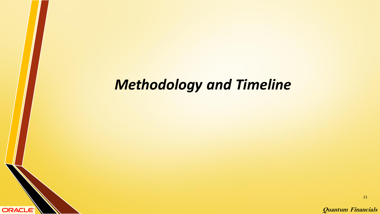## *Methodology and Timeline*

ORACLE<sup>®</sup>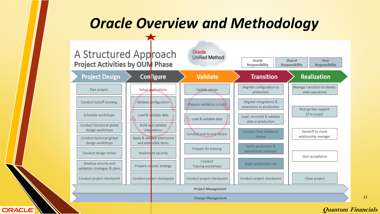## *Oracle Overview and Methodology*



**ORACLE** 

**Quantum Financials**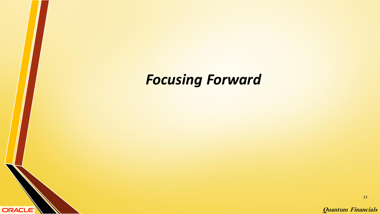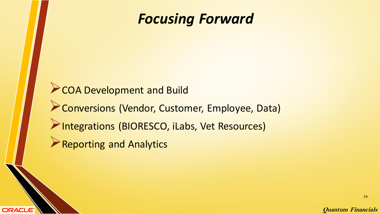## *Focusing Forward*

➢COA Development and Build ➢Conversions (Vendor, Customer, Employee, Data) ➢Integrations (BIORESCO, iLabs, Vet Resources) ➢Reporting and Analytics

**ORACLE®**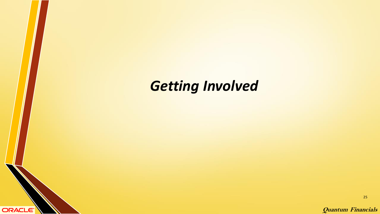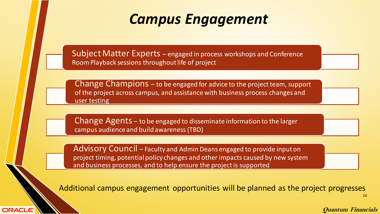## *Campus Engagement*

Subject Matter Experts – engaged in process workshops and Conference Room Playback sessions throughout life of project

Change Champions – to be engaged for advice to the project team, support of the project across campus, and assistance with business process changes and user testing

Change Agents – to be engaged to disseminate information to the larger campus audience and build awareness (TBD)

Advisory Council – Faculty and Admin Deans engaged to provide input on project timing, potential policy changes and other impacts caused by new system and business processes, and to help ensure the project is supported

**ORACLE**®

Additional campus engagement opportunities will be planned as the project progresses

26

**Quantum Financials**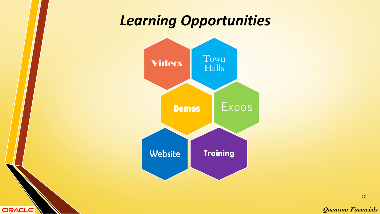## *Learning Opportunities*



**ORACLE** 

**Quantum Financials**